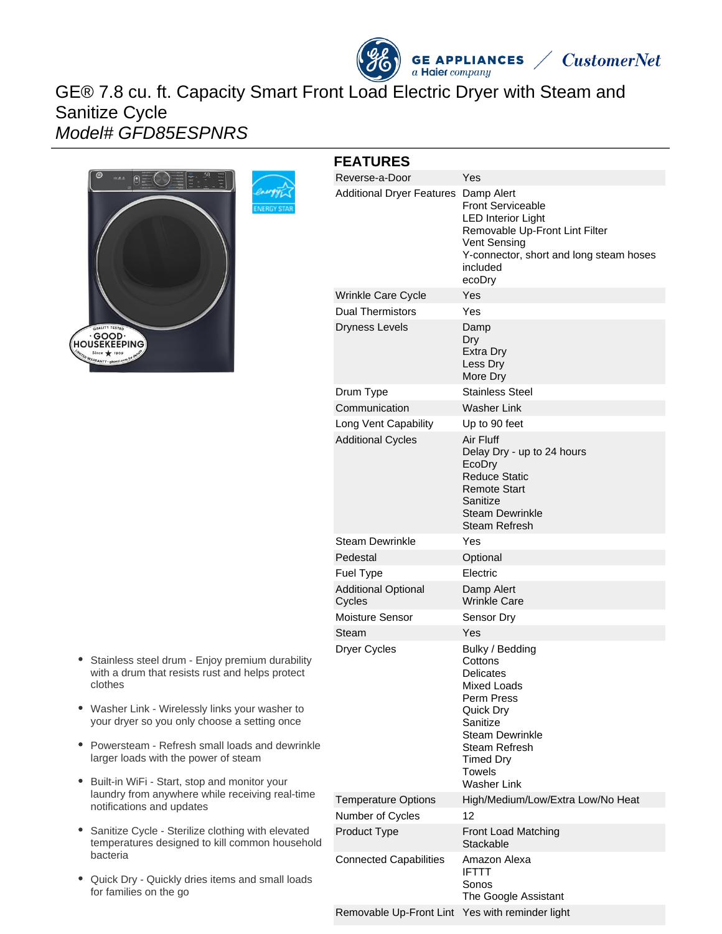# **GE APPLIANCES**  $\lambda$  $\angle$  CustomerNet

# GE® 7.8 cu. ft. Capacity Smart Front Load Electric Dryer with Steam and Sanitize Cycle Model# GFD85ESPNRS



| <b>FEATURES</b>                      |                                                                                                                                                                                        |
|--------------------------------------|----------------------------------------------------------------------------------------------------------------------------------------------------------------------------------------|
| Reverse-a-Door                       | Yes                                                                                                                                                                                    |
| <b>Additional Dryer Features</b>     | Damp Alert<br><b>Front Serviceable</b><br>LED Interior Light<br>Removable Up-Front Lint Filter<br><b>Vent Sensing</b><br>Y-connector, short and long steam hoses<br>included<br>ecoDry |
| Wrinkle Care Cycle                   | Yes                                                                                                                                                                                    |
| <b>Dual Thermistors</b>              | Yes                                                                                                                                                                                    |
| <b>Dryness Levels</b>                | Damp<br>Dry<br><b>Extra Dry</b><br>Less Dry<br>More Dry                                                                                                                                |
| Drum Type                            | <b>Stainless Steel</b>                                                                                                                                                                 |
| Communication                        | Washer Link                                                                                                                                                                            |
| Long Vent Capability                 | Up to 90 feet                                                                                                                                                                          |
| <b>Additional Cycles</b>             | Air Fluff<br>Delay Dry - up to 24 hours<br>EcoDry<br><b>Reduce Static</b><br><b>Remote Start</b><br>Sanitize<br>Steam Dewrinkle<br>Steam Refresh                                       |
| <b>Steam Dewrinkle</b>               | Yes                                                                                                                                                                                    |
| Pedestal                             | Optional                                                                                                                                                                               |
| Fuel Type                            | Electric                                                                                                                                                                               |
| <b>Additional Optional</b><br>Cycles | Damp Alert<br><b>Wrinkle Care</b>                                                                                                                                                      |
| Moisture Sensor                      | Sensor Dry                                                                                                                                                                             |
| Steam                                | Yes                                                                                                                                                                                    |
| <b>Dryer Cycles</b>                  | Bulky / Bedding<br>Cottons<br><b>Delicates</b><br><b>Mixed Loads</b><br>Perm Press<br>Quick Dry<br>Sanitize<br>Steam Dewrinkle<br>Steam Refresh<br>Timed Dry<br>Towels<br>Washer Link  |
| <b>Temperature Options</b>           | High/Medium/Low/Extra Low/No Heat                                                                                                                                                      |
| Number of Cycles                     | 12                                                                                                                                                                                     |
| Product Type                         | Front Load Matching<br>Stackable                                                                                                                                                       |
| <b>Connected Capabilities</b>        | Amazon Alexa<br><b>IFTTT</b><br>Sonos<br>The Google Assistant                                                                                                                          |
| Removable Up-Front Lint              | Yes with reminder light                                                                                                                                                                |

- Stainless steel drum Enjoy premium durability with a drum that resists rust and helps protect clothes
- Washer Link Wirelessly links your washer to your dryer so you only choose a setting once
- Powersteam Refresh small loads and dewrinkle larger loads with the power of steam
- Built-in WiFi Start, stop and monitor your laundry from anywhere while receiving real-time notifications and updates
- Sanitize Cycle Sterilize clothing with elevated  $\bullet$ temperatures designed to kill common household bacteria
- Quick Dry Quickly dries items and small loads for families on the go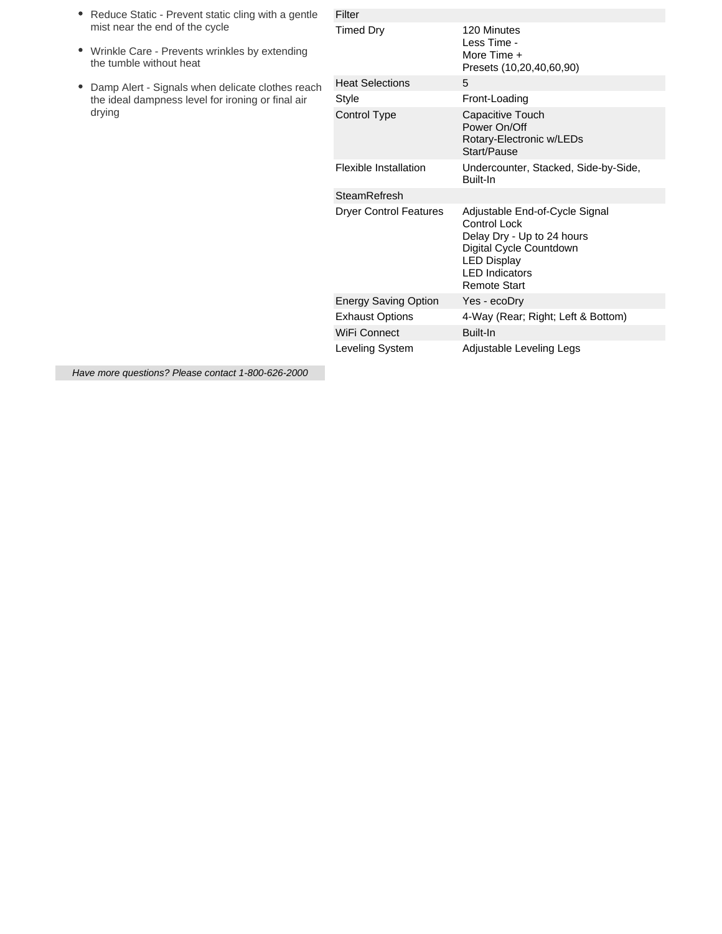| • Reduce Static - Prevent static cling with a gentle |  |
|------------------------------------------------------|--|
| mist near the end of the cycle                       |  |

- Wrinkle Care Prevents wrinkles by extending the tumble without heat
- Damp Alert Signals when delicate clothes reach the ideal dampness level for ironing or final air drying

| Filter                        |                                                                                                                                                                               |
|-------------------------------|-------------------------------------------------------------------------------------------------------------------------------------------------------------------------------|
| <b>Timed Dry</b>              | 120 Minutes<br>Less Time -<br>More Time +<br>Presets (10,20,40,60,90)                                                                                                         |
| <b>Heat Selections</b>        | 5                                                                                                                                                                             |
| <b>Style</b>                  | Front-Loading                                                                                                                                                                 |
| Control Type                  | Capacitive Touch<br>Power On/Off<br>Rotary-Electronic w/LEDs<br>Start/Pause                                                                                                   |
| Flexible Installation         | Undercounter, Stacked, Side-by-Side,<br>Built-In                                                                                                                              |
| SteamRefresh                  |                                                                                                                                                                               |
| <b>Dryer Control Features</b> | Adjustable End-of-Cycle Signal<br>Control Lock<br>Delay Dry - Up to 24 hours<br>Digital Cycle Countdown<br><b>LED Display</b><br><b>LED</b> Indicators<br><b>Remote Start</b> |
| <b>Energy Saving Option</b>   | Yes - ecoDry                                                                                                                                                                  |
| <b>Exhaust Options</b>        | 4-Way (Rear; Right; Left & Bottom)                                                                                                                                            |
| <b>WiFi Connect</b>           | Built-In                                                                                                                                                                      |
| Leveling System               | Adjustable Leveling Legs                                                                                                                                                      |

Have more questions? Please contact 1-800-626-2000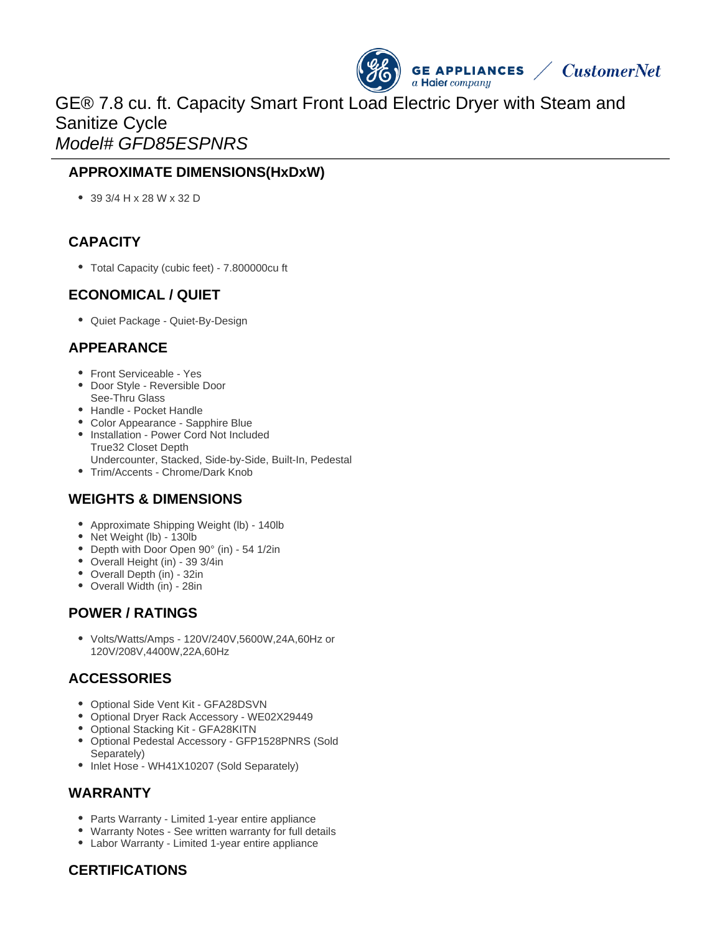

# GE® 7.8 cu. ft. Capacity Smart Front Load Electric Dryer with Steam and Sanitize Cycle Model# GFD85ESPNRS

# **APPROXIMATE DIMENSIONS(HxDxW)**

39 3/4 H x 28 W x 32 D

# **CAPACITY**

Total Capacity (cubic feet) - 7.800000cu ft

#### **ECONOMICAL / QUIET**

• Quiet Package - Quiet-By-Design

#### **APPEARANCE**

- Front Serviceable Yes
- Door Style Reversible Door See-Thru Glass
- Handle Pocket Handle
- Color Appearance Sapphire Blue
- Installation Power Cord Not Included True32 Closet Depth Undercounter, Stacked, Side-by-Side, Built-In, Pedestal
- Trim/Accents Chrome/Dark Knob

# **WEIGHTS & DIMENSIONS**

- Approximate Shipping Weight (lb) 140lb
- Net Weight (lb) 130lb
- Depth with Door Open 90° (in) 54 1/2in
- Overall Height (in) 39 3/4in
- Overall Depth (in) 32in
- Overall Width (in) 28in

# **POWER / RATINGS**

Volts/Watts/Amps - 120V/240V,5600W,24A,60Hz or 120V/208V,4400W,22A,60Hz

# **ACCESSORIES**

- Optional Side Vent Kit GFA28DSVN
- Optional Dryer Rack Accessory WE02X29449
- Optional Stacking Kit GFA28KITN
- Optional Pedestal Accessory GFP1528PNRS (Sold Separately)
- Inlet Hose WH41X10207 (Sold Separately)

#### **WARRANTY**

- Parts Warranty Limited 1-year entire appliance
- Warranty Notes See written warranty for full details
- Labor Warranty Limited 1-year entire appliance

# **CERTIFICATIONS**